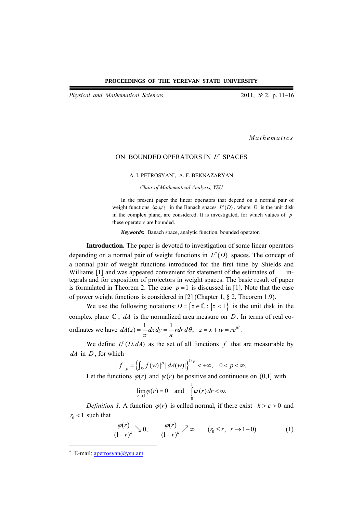*Physical and Mathematical Sciences* 2011, № 2, p. 11–16

*Mathematics* 

## ON BOUNDED OPERATORS IN  $L^p$  SPACES

A. I. PETROSYAN<sup>∗</sup> , A. F. BEKNAZARYAN

*Chair of Mathematical Analysis, YSU* 

In the present paper the linear operators that depend on a normal pair of weight functions  $\{\varphi, \psi\}$  in the Banach spaces  $L^p(D)$ , where *D* is the unit disk in the complex plane, are considered. It is investigated, for which values of *p* these operators are bounded.

*Keywords***:** Banach space, analytic function, bounded operator.

**Introduction.** The paper is devoted to investigation of some linear operators depending on a normal pair of weight functions in  $L^p(D)$  spaces. The concept of a normal pair of weight functions introduced for the first time by Shields and Williams [1] and was appeared convenient for statement of the estimates of integrals and for exposition of projectors in weight spaces. The basic result of paper is formulated in Theorem 2. The case  $p=1$  is discussed in [1]. Note that the case of power weight functions is considered in [2] (Chapter 1, § 2, Theorem 1.9).

We use the following notations:  $D = \{z \in \mathbb{C} : |z| < 1\}$  is the unit disk in the complex plane  $\mathbb{C}$ , *dA* is the normalized area measure on *D*. In terms of real coordinates we have  $dA(z) = \frac{1}{\pi} dx dy = \frac{1}{\pi} r dr d\theta$ ,  $z = x + iy = re^{i\theta}$ .

We define  $L^p(D, dA)$  as the set of all functions f that are measurable by *dA* in *D* , for which

$$
||f||_p = \left\{ \int_D |f(w)|^p |dA(w)| \right\}^{1/p} < +\infty, \quad 0 < p < \infty.
$$

Let the functions  $\varphi(r)$  and  $\psi(r)$  be positive and continuous on (0,1] with

$$
\lim_{r \to 1} \varphi(r) = 0 \quad \text{and} \quad \int_0^1 \psi(r) \, dr < \infty.
$$

*Definition 1.* A function  $\varphi(r)$  is called normal, if there exist  $k > \varepsilon > 0$  and  $r_0 < 1$  such that

$$
\frac{\varphi(r)}{(1-r)^{\varepsilon}} \searrow 0, \qquad \frac{\varphi(r)}{(1-r)^{k}} \nearrow \infty \qquad (r_0 \le r, \ r \to 1-0). \tag{1}
$$

 $\overline{a}$ 

<sup>\*</sup> E-mail: apetrosyan@ysu.am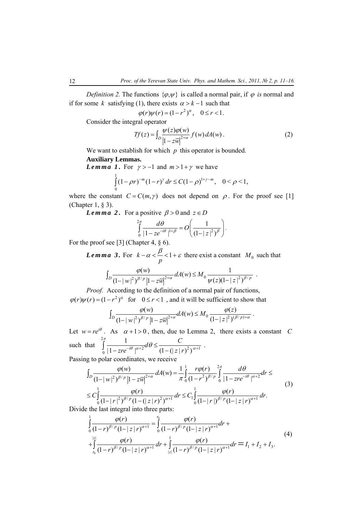*Definition 2.* The functions  $\{\varphi, \psi\}$  is called a normal pair, if  $\varphi$  *is* normal and if for some *k* satisfying (1), there exists  $\alpha > k - 1$  such that

$$
\varphi(r)\psi(r) = (1 - r^2)^{\alpha}, \quad 0 \le r < 1.
$$

Consider the integral operator

$$
Tf(z) = \int_D \frac{\psi(z)\varphi(w)}{\left|1 - z\overline{w}\right|^{2+\alpha}} f(w) dA(w) \,. \tag{2}
$$

We want to establish for which *p* this operator is bounded.

## **Auxiliary Lemmas.**

*Lemma 1*. For  $\gamma > -1$  and  $m > 1 + \gamma$  we have

$$
\int_{0}^{1} (1 - \rho r)^{-m} (1 - r)^{\gamma} dr \leq C (1 - \rho)^{1 + \gamma - m}, \quad 0 < \rho < 1,
$$

where the constant  $C = C(m, \gamma)$  does not depend on  $\rho$ . For the proof see [1] (Chapter 1, § 3).

*Lemma* 2. For a positive  $\beta > 0$  and  $z \in D$ 

$$
\int_{0}^{2\pi} \frac{d\theta}{|1 - ze^{-i\theta}|^{1+\beta}} = O\left(\frac{1}{(1 - |z|^2)^{\beta}}\right).
$$

For the proof see [3] (Chapter 4, § 6).

*Lemma* 3. For  $k - \alpha < \frac{P}{C} < 1$  $-\alpha < \frac{\beta}{p} < 1 + \varepsilon$  there exist a constant *M*<sub>0</sub> such that

$$
\int_D \frac{\varphi(w)}{(1-|w|^2)^{\beta/p}|1-z\overline{w}|^{2+\alpha}} dA(w) \leq M_0 \frac{1}{\psi(z)(1-|z|^2)^{\beta/p}}.
$$

*Proof.* According to the definition of a normal pair of functions,  $\varphi(r)\psi(r) = (1 - r^2)^{\alpha}$  for  $0 \le r < 1$ , and it will be sufficient to show that

$$
\int_D \frac{\varphi(w)}{(1-|w|^2)^{\beta/p}|1-z\overline{w}|^{2+\alpha}} dA(w) \leq M_0 \frac{\varphi(z)}{(1-|z|^2)^{(\beta/p)+\alpha}}.
$$

Let  $w = re^{i\theta}$ . As  $\alpha + 1 > 0$ , then, due to Lemma 2, there exists a constant *C* such that 2  $\int_{0}^{1} |1 - zre^{-i\theta}|^{\alpha+2} e^{i\theta} = (1 - (|z|r)^{2})^{\alpha+1}$ 1  $|1 - zre^{-i\theta}|^{\alpha+2}^{\alpha\omega-1} (1-(|z|r)^2)$  $d\theta \leq \frac{C}{\theta}$ *zre*<sup> $-i\theta$ </sup>  $\int^{\alpha+2}$  *(*1 – (| *z* | *r*  $\int\limits_0^{2\pi}{1\over \left|1-zre^{-i\theta}\right|^{\alpha+2}}d\theta\leq \frac{C}{\left(1-\left(\left|z\right|r\right)^2\right)^{\alpha+1}}\enspace.$ 

Passing to polar coordinates, we receive

$$
\int_{D} \frac{\varphi(w)}{(1-|w|^2)^{\beta/p} |1-z\overline{w}|^{2+\alpha}} dA(w) = \frac{1}{\pi} \int_{0}^{1} \frac{r\varphi(r)}{(1-r^2)^{\beta/p}} \int_{0}^{2\pi} \frac{d\theta}{|1-zre^{-i\theta}|^{\alpha+2}} dr \leq C \int_{0}^{1} \frac{\varphi(r)}{(1-|r|^2)^{\beta/p} (1-(|z|r)^2)^{\alpha+1}} dr \leq C_1 \int_{0}^{1} \frac{\varphi(r)}{(1-|r|)^{\beta/p} (1-|z|r)^{\alpha+1}} dr.
$$
\n(3)

Divide the last integral into three parts:

$$
\int_{0}^{1} \frac{\varphi(r)}{(1-r)^{\beta/p} (1-|z|r)^{\alpha+1}} = \int_{0}^{r_0} \frac{\varphi(r)}{(1-r)^{\beta/p} (1-|z|r)^{\alpha+1}} dr + \int_{\frac{|z|}{r_0} (1-r)^{\beta/p} (1-|z|r)^{\alpha+1}} \frac{\varphi(r)}{(1-r)^{\beta/p} (1-|z|r)^{\alpha+1}} dr + \int_{|z|} \frac{\varphi(r)}{(1-r)^{\beta/p} (1-|z|r)^{\alpha+1}} dr = I_1 + I_2 + I_3.
$$
\n(4)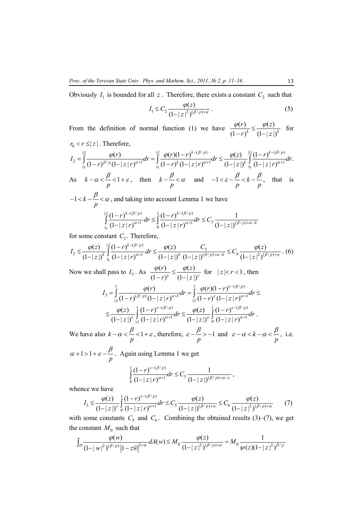Obviously  $I_1$  is bounded for all  $z$ . Therefore, there exists a constant  $C_2$  such that

$$
I_1 \le C_2 \frac{\varphi(z)}{(1-|z|^2)^{(\beta/p)+\alpha}}.
$$
 (5)

From the definition of normal function (1) we have  $\frac{\varphi(r)}{r} \leq \frac{\varphi(z)}{r}$  $(1 - r)^{k}$   $(1 - |z|)^{k}$ *r*)  $\varphi(z)$  $\frac{\varphi(r)}{(1-r)^k} \leq \frac{\varphi(z)}{(1-|z|)^k}$  for  $r_0 < r \le |z|$ . Therefore,

$$
I_{2} = \int_{r_{0}}^{z} \frac{\varphi(r)}{(1-r)^{\beta/p}(1-|z|r)^{\alpha+1}} dr = \int_{r_{0}}^{z} \frac{\varphi(r)(1-r)^{k-(\beta/p)}}{(1-r)^{k}(1-|z|r)^{\alpha+1}} dr \leq \frac{\varphi(z)}{(1-|z|)^{k}} \int_{r_{0}}^{z} \frac{(1-r)^{k-(\beta/p)}}{(1-|z|r)^{\alpha+1}} dr.
$$
  
As  $k - \alpha < \frac{\beta}{2} < 1 + \varepsilon$ , then  $k - \frac{\beta}{2} < \alpha$  and  $-1 < \varepsilon - \frac{\beta}{2} < k - \frac{\beta}{2}$ , that is

As 
$$
k - \alpha < \frac{p}{p} < 1 + \varepsilon
$$
, then  $k - \frac{p}{p} < \alpha$  and  $-1 < \varepsilon - \frac{p}{p} < k - \frac{p}{p}$ , that  
\n $-1 < k - \frac{\beta}{2} < \alpha$ , and taking into account Lemma 1 we have

$$
p \int_{r_0}^{|z|} \frac{(1-r)^{k-(\beta/p)}}{(1-|z|r)^{\alpha+1}} dr \le \int_0^1 \frac{(1-r)^{k-(\beta/p)}}{(1-|z|r)^{\alpha+1}} dr \le C_3 \frac{1}{(1-|z|)^{(\beta/p)+\alpha-k}}
$$

for some constant  $C_3$ . Therefore,

$$
I_2 \le \frac{\varphi(z)}{(1-|z|)^k} \int_{r_0}^{|z|} \frac{(1-r)^{k-(\beta/p)}}{(1-|z|)^{\alpha+1}} dr \le \frac{\varphi(z)}{(1-|z|)^k} \frac{C_3}{(1-|z|)^{(\beta/p)+\alpha-k}} \le C_4 \frac{\varphi(z)}{(1-|z|^2)^{(\beta/p)+\alpha}} \ . \tag{6}
$$

Now we shall pass to  $I_3$ . As  $\frac{\varphi(r)}{(1 - r)^{\varepsilon}} \le \frac{\varphi(z)}{(1 - |z|)}$  $r$   $\varphi(z)$  $\frac{\varphi(r)}{1-r^{\varepsilon}} \leq \frac{\varphi(z)}{(1-|z|)^{\varepsilon}}$  for  $|z| < r < 1$ , then

$$
I_{3} = \int_{|z|}^{1} \frac{\varphi(r)}{(1-r)^{(\beta/p)}(1-|z|r)^{\alpha+1}} dr = \int_{|z|}^{1} \frac{\varphi(r)(1-r)^{\varepsilon-(\beta/p)}}{(1-|z|r)^{\alpha+1}} dr \le
$$
  

$$
\leq \frac{\varphi(z)}{(1-|z|)^{\varepsilon}} \int_{|z|}^{1} \frac{(1-r)^{\varepsilon-(\beta/p)}}{(1-|z|r)^{\alpha+1}} dr \leq \frac{\varphi(z)}{(1-|z|)^{\varepsilon}} \int_{0}^{1} \frac{(1-r)^{\varepsilon-(\beta/p)}}{(1-|z|r)^{\alpha+1}} dr.
$$

We have also  $k - \alpha < \frac{p}{q} < 1$ *p*  $-\alpha < \frac{\beta}{\beta} < 1 + \varepsilon$ , therefore,  $\varepsilon - \frac{\beta}{\beta} > -1$ *p*  $\varepsilon - \frac{\beta}{\beta} > -1$  and  $\varepsilon - \alpha < k$ *p*  $\varepsilon - \alpha < k - \alpha < \frac{\beta}{2}$ , i.e.

 $1 > 1$ *p*  $\alpha + 1 > 1 + \varepsilon - \frac{\beta}{\beta}$ . Again using Lemma 1 we get

$$
\int_{0}^{1} \frac{(1-r)^{\varepsilon-(\beta/p)}}{(1-|z|r)^{\alpha+1}} dr \leq C_{5} \frac{1}{(1-|z|)^{(\beta/p)+\alpha-\varepsilon}},
$$

whence we have

$$
I_3 \leq \frac{\varphi(z)}{(1-|z|)^{\varepsilon}} \int_0^1 \frac{(1-r)^{\varepsilon-(\beta/p)}}{(1-|z|)^{\alpha+1}} dr \leq C_5 \frac{\varphi(z)}{(1-|z|)^{(\beta/p)+\alpha}} \leq C_6 \frac{\varphi(z)}{(1-|z|^2)^{(\beta/p)+\alpha}} \qquad (7)
$$

with some constants  $C_5$  and  $C_6$ . Combining the obtained results (3)–(7), we get the constant  $M_0$  such that

$$
\int_{D} \frac{\varphi(w)}{(1-|w|^2)^{(\beta/p)}} |1-z\overline{w}|^{2+\alpha} dA(w) \leq M_0 \frac{\varphi(z)}{(1-|z|^2)^{(\beta/p)+\alpha}} = M_0 \frac{1}{\psi(z)(1-|z|^2)^{\beta/p}}
$$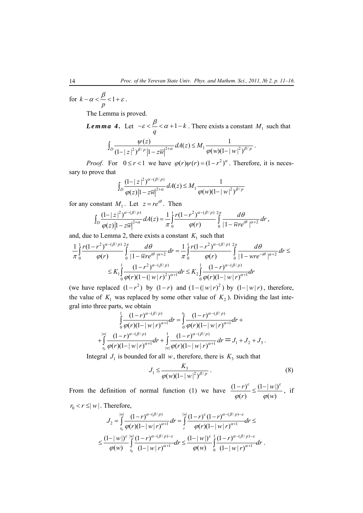for  $k - \alpha < \frac{\mu}{\epsilon} < 1$ *p*  $-\alpha < \frac{\beta}{\beta} < 1 + \varepsilon$ .

The Lemma is proved.

*Lemma 4.* Let  $-\varepsilon < \frac{P}{C} < \alpha + 1 - k$  $-\varepsilon < \frac{\beta}{q} < \alpha + 1 - k$ . There exists a constant *M*<sub>1</sub> such that

$$
\int_D \frac{\psi(z)}{(1-|z|^2)^{\beta/p}|1-z\overline{w}|^{2+\alpha}} dA(z) \leq M_1 \frac{1}{\varphi(w)(1-|w|^2)^{\beta/p}}.
$$

*Proof.* For  $0 \le r < 1$  we have  $\varphi(r)\psi(r) = (1 - r^2)^{\alpha}$ . Therefore, it is necessary to prove that

$$
\int_{D} \frac{(1-|z|^2)^{\alpha - (\beta/p)}}{\varphi(z)|1-z\overline{w}|^{2+\alpha}} dA(z) \leq M_1 \frac{1}{\varphi(w)(1-|w|^2)^{\beta/p}}
$$

for any constant  $M_1$ . Let  $z = re^{i\theta}$ . Then

$$
\int_{D} \frac{(1-|z|^2)^{\alpha-(\beta/p)}}{\varphi(z)|1-z\overline{w}|^{2+\alpha}} dA(z) = \frac{1}{\pi} \int_{0}^{1} \frac{r(1-r^2)^{\alpha-(\beta/p)}}{\varphi(r)} \int_{0}^{2\pi} \frac{d\theta}{|1-\overline{w}re^{i\theta}|^{\alpha+2}} dr,
$$

and, due to Lemma 2, there exists a constant  $K_1$  such that

$$
\frac{1}{\pi} \int_{0}^{1} \frac{r(1-r^2)^{\alpha - (\beta/p)}}{\varphi(r)} \int_{0}^{2\pi} \frac{d\theta}{|1 - \overline{w}re^{i\theta}|^{\alpha+2}} dr = \frac{1}{\pi} \int_{0}^{1} \frac{r(1-r^2)^{\alpha - (\beta/p)}}{\varphi(r)} \int_{0}^{2\pi} \frac{d\theta}{|1 - wre^{-i\theta}|^{\alpha+2}} dr \le K \int_{0}^{1} \frac{(1-r^2)^{\alpha - (\beta/p)}}{\varphi(r)(1 - (|w|r)^2)^{\alpha+1}} dr \le K_2 \int_{0}^{1} \frac{(1-r)^{\alpha - (\beta/p)}}{\varphi(r)(1 - |w|r)^{\alpha+1}} dr
$$

(we have replaced  $(1 - r^2)$  by  $(1 - r)$  and  $(1 - (|w|r)^2)$  by  $(1 - |w|r)$ , therefore, the value of  $K_1$  was replaced by some other value of  $K_2$ ). Dividing the last integral into three parts, we obtain

$$
\int_{0}^{1} \frac{(1-r)^{\alpha-(\beta/p)}}{\varphi(r)(1-|w|r)^{\alpha+1}} dr = \int_{0}^{r_0} \frac{(1-r)^{\alpha-(\beta/p)}}{\varphi(r)(1-|w|r)^{\alpha+1}} dr +
$$
  
+
$$
\int_{r_0}^{|w|} \frac{(1-r)^{\alpha-(\beta/p)}}{\varphi(r)(1-|w|r)^{\alpha+1}} dr + \int_{|w|} \frac{(1-r)^{\alpha-(\beta/p)}}{\varphi(r)(1-|w|r)^{\alpha+1}} dr = J_1 + J_2 + J_3.
$$

Integral  $J_1$  is bounded for all *w*, therefore, there is  $K_3$  such that

$$
J_1 \le \frac{K_3}{\varphi(w)(1-|w|^2)^{\beta/p}}.
$$
 (8)

From the definition of normal function (1) we have  $\frac{(1 - r)^{\epsilon}}{\epsilon} \leq \frac{(1 - |w|)^{\epsilon}}{\epsilon}$  $\rho(r)$   $q(w)$ *r*) $(\ell)$  /  $(1-|w|)$  $r$   $\varphi(w)$ ε ε  $\varphi(r)$   $\varphi$  $\frac{(-r)^{\varepsilon}}{2} \leq \frac{(1-|w|)^{\varepsilon}}{2}, \text{ if }$  $r_0 < r \le |w|$ . Therefore,

$$
J_2 = \int_{r_0}^{|w|} \frac{(1-r)^{\alpha-(\beta/p)}}{\varphi(r)(1-|w|r)^{\alpha+1}} dr = \int_{r}^{|w|} \frac{(1-r)^{\varepsilon}(1-r)^{\alpha-(\beta/p)-\varepsilon}}{\varphi(r)(1-|w|r)^{\alpha+1}} dr \le
$$
  

$$
\leq \frac{(1-|w|)^{\varepsilon}}{\varphi(w)} \int_{r_0}^{|w|} \frac{(1-r)^{\alpha-(\beta/p)-\varepsilon}}{(1-|w|r)^{\alpha+1}} dr \leq \frac{(1-|w|)^{\varepsilon}}{\varphi(w)} \int_{0}^{1} \frac{(1-r)^{\alpha-(\beta/p)-\varepsilon}}{(1-|w|r)^{\alpha+1}} dr.
$$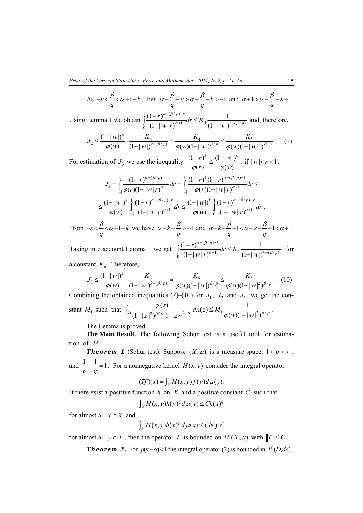As 
$$
-\varepsilon < \frac{\beta}{q} < \alpha + 1 - k
$$
, then  $\alpha - \frac{\beta}{q} - \varepsilon > \alpha - \frac{\beta}{q} - k > -1$  and  $\alpha + 1 > \alpha - \frac{\beta}{q} - \varepsilon + 1$ .

Using Lemma 1 we obtain  $1 (1 - \mu) \alpha - (\beta/p)$  $\int_{0}^{\infty} \frac{1}{(1-|w|)^{\alpha+1}} \, dx \leq K_4 \frac{1}{(1-|w|)^{\varepsilon+(\beta/p)}}$  $(1-r)^{\alpha-(\beta/p)-\varepsilon}$  $(1-|w|r)^{\alpha+1}$  <sup>4</sup>  $(1-|w|)$ *p*  $\frac{r}{\left|w\right|w\right|^{a+\beta}}dr \leq K_4 \frac{1}{\left(1-\left|w\right|\right)^{a+\beta}(\beta/\beta)}$  $w(r)^{\alpha+1}$  <sup>4</sup>  $(1-|w|)$  $\alpha$ - $(\beta/p)$ -ε  $\alpha+1$   $\cdots$   $-1$   $\alpha$   $\beta$   $(1 + \alpha) \delta^{(1)}$  $-(\beta/p) \int_{0}^{1} \frac{(1-r)^{\alpha-(\beta/p)-\varepsilon}}{(1-|w|)^{\alpha+1}} dr \leq K_4 \frac{1}{(1-|w|)^{\varepsilon+(\beta/p)}}$  and, therefore,

$$
J_2 \le \frac{(1-|w|)^{\varepsilon}}{\varphi(w)} \cdot \frac{K_4}{(1-|w|)^{\varepsilon+(\beta/p)}} = \frac{K_4}{\varphi(w)(1-|w|)^{\beta/p}} \le \frac{K_5}{\varphi(w)(1-|w|^2)^{\beta/p}}.
$$
 (9)

For estimation of  $J_3$  we use the inequality  $\frac{(1-r)^k}{\varphi(r)} \leq \frac{(1-|w|)}{\varphi(w)}$ *r* $)^{k}$   $(1-|w|)^{k}$  $\varphi(r)$   $\varphi(w)$  $\frac{(-r)^k}{\sqrt{n}} \leq \frac{(1-|w|)^k}{\sqrt{n}}$ , if  $|w| < r < 1$ .

$$
J_3 = \int_{|w|}^{1} \frac{(1-r)^{\alpha - (\beta/p)}}{\varphi(r)(1-|w|r)^{\alpha+1}} dr = \int_{|w|}^{1} \frac{(1-r)^k (1-r)^{\alpha - (\beta/p)-k}}{\varphi(r)(1-|w|r)^{\alpha+1}} dr \le
$$
  

$$
\leq \frac{(1-|w|)^k}{\varphi(w)} \int_{|w|}^{1} \frac{(1-r)^{\alpha - (\beta/p)-k}}{(1-|w|r)^{\alpha+1}} dr \leq \frac{(1-|w|)^k}{\varphi(w)} \int_{0}^{1} \frac{(1-r)^{\alpha - (\beta/p)-k}}{(1-|w|r)^{\alpha+1}} dr.
$$

From  $-\varepsilon < \frac{\mu}{2} < \alpha + 1 - k$ *q*  $-\varepsilon < \frac{\beta}{\alpha} < \alpha + 1 - k$  we have  $\alpha - k - \frac{\beta}{\beta} > -1$ *q*  $\alpha-k-\frac{\beta}{2} > -1$  and  $\alpha-k-\frac{\beta}{2}+1 < \alpha-\varepsilon-\frac{\beta}{2}+1 < \alpha+1$  $q \left( \begin{array}{ccc} q & q \end{array} \right)$  $\alpha-k-\frac{\beta}{2}+1<\alpha-\varepsilon-\frac{\beta}{2}+1<\alpha+1$ .

Taking into account Lemma 1 we get  $1 (1 - r)^{\alpha - (\beta/p)}$  $\int_{0}^{\infty} \frac{1-|w|}{(1-|w|)^{\alpha+1}} dV \leq K_6 \frac{1-|w|}{(1-|w|)^{k+(\beta/p)}}$  $(1 - r)^{\alpha - (\beta/p) - k}$  $(1-|w|r)^{\alpha+1}$   $(1-|w|)$ *p k*  $\int_{1}^{\infty} \frac{r^{(k/p)-k}}{r^{(k+p)}} dr \leq K_6 \frac{1}{(1+1)^{(k+p)/k}}$  $w(r)^{\alpha+1}$  <sup>o</sup>  $(1-|w|)$  $\alpha$  –( $\beta$  $\alpha + 1$   $a_n = 16$  (1  $\alpha + 1$ )  $-(\beta/p) \int_{0}^{1} \frac{(1-r)^{\alpha-(\beta/p)-k}}{(1-|w|)^{\alpha+1}} dr \leq K_6 \frac{1}{(1-|w|)^{k+(\beta/p)}}$  for

a constant  $K_6$ . Therefore,

$$
J_3 \le \frac{(1-|w|)^k}{\varphi(w)} \cdot \frac{K_6}{(1-|w|)^{k+(\beta/p)}} = \frac{K_6}{\varphi(w)(1-|w|)^{\beta/p}} \le \frac{K_7}{\varphi(w)(1-|w|^2)^{\beta/p}}.
$$
 (10)

Combining the obtained inequalities (7)–(10) for  $J_1$ ,  $J_2$  and  $J_3$ , we get the constant *M*<sub>1</sub> such that  $\int_{D} \frac{\psi(z)}{(1 + |z|^2)^{\beta/p} |z|^{\beta}} dA(z) \leq M_1 \frac{1}{\varphi(w)(1 - |w|^2)^{\beta/p}}$  $\int_{0}^{D} (1-|z|^2)^{\beta/p} |1-z\overline{w}|^{2+\alpha} \int_{0}^{2+\alpha} w^{\alpha/2} (1-w^2)^{\beta/p}$ *z*)  $dA(z) \leq M$  $z^{2} \frac{\beta}{\beta} |1 - z\overline{w}|^{2+\alpha}$  where  $\beta = \frac{w}{\alpha} \frac{\varphi(w)(1 - |w|^2)^{\beta}}{\varphi(w)(1 - |w|^2)^{\beta}}$  $\int_D \frac{\psi(z)}{(1-|z|^2)^{\beta/p} |1-z\overline{w}|^{2+\alpha}} dA(z) \leq M_1 \frac{1}{\varphi(w)(1-|w|^2)^{\beta/p}}.$ 

The Lemma is proved.

**The Main Result.** The following Schur test is a useful tool for estimation of  $L^p$ .

*Theorem 1* (Schur test). Suppose  $(X, \mu)$  is a measure space,  $1 < p < \infty$ , and  $\frac{1}{n} + \frac{1}{n} = 1$ . For a nonnegative kernel  $H(x, y)$  consider the integral operator

and 
$$
- + - = 1
$$
. For a nonnegative kernel  $H(x, y)$  consider the integral operator  $p$ 

$$
(Tf)(x) = \int_X H(x, y) f(y) d\mu(y).
$$

If there exist a positive function *h* on *X* and a positive constant *C* such that

$$
\int_X H(x, y)h(y)^q d\mu(y) \le Ch(x)^q
$$

for almost all *x*∈ *X* and

$$
\int_X H(x, y)h(x)^p d\mu(x) \leq Ch(y)^p
$$

for almost all  $y \in X$ , then the operator *T* is bounded on  $L^p(X, \mu)$  with  $||T|| \leq C$ .

*Theorem 2.* For  $p(k-\alpha)$ <1 the integral operator (2) is bounded in  $L^p(D,dA)$ .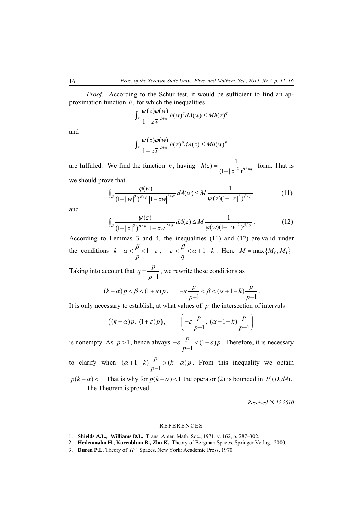*Proof.* According to the Schur test, it would be sufficient to find an approximation function  $h$ , for which the inequalities

$$
\int_D \frac{\psi(z)\varphi(w)}{|1-z\overline{w}|^{2+\alpha}} h(w)^q dA(w) \leq Mh(z)^q
$$

and

$$
\int_D \frac{\psi(z)\varphi(w)}{\left|1-z\overline{w}\right|^{2+\alpha}} h(z)^p dA(z) \leq Mh(w)^p
$$

are fulfilled. We find the function *h*, having  $h(z) = \frac{1}{(1 - |z|^2)^{\beta/pq}}$  form. That is we should prove that

 $\int_D \frac{\varphi(w)}{(1+|w|^2)^{\beta/p}|1-\pi v|^{2+\alpha}} dA(w) \leq M \frac{1}{|w(\pi)(1-|w|^2)^{\beta/p}}$  $\int_{0}^{D} (1-|w|^2)^{\beta/p} |1-z\overline{w}|^{2+\alpha} \stackrel{\text{diam}(W) \to M}{=} \psi(z)(1-|z|^2)^{\beta/p}$ *w*)  $\frac{dA(w)}{dx}$  *dA*(*w*)  $\leq M$  $w|^2 \big)^{\beta/p} \big| 1 - z \overline{w} \big|^{2+\alpha} \stackrel{\text{def}}{=} \psi(z) (1 - |z|^2)^\beta$  $\int_D \frac{\varphi(w)}{(1-|w|^2)^{\beta/p}|1-z\overline{w}|^{2+\alpha}} dA(w) \leq M \frac{1}{\psi(z)(1-|z|^2)^{\beta/p}}$  (11)

and

$$
\int_{D} \frac{\psi(z)}{(1-|z|^2)^{\beta/p} |1-z\overline{w}|^{2+\alpha}} dA(z) \le M \frac{1}{\varphi(w)(1-|w|^2)^{\beta/p}}.
$$
 (12)

According to Lemmas 3 and 4, the inequalities (11) and (12) are valid under the conditions  $k - \alpha < \frac{P}{q} < 1$ *p*  $-\alpha < \frac{\beta}{\beta} < 1 + \varepsilon$ ,  $-\varepsilon < \frac{\beta}{\beta} < \alpha + 1 - k$  $-\varepsilon < \frac{\beta}{q} < \alpha + 1 - k$ . Here  $M = \max\{M_0, M_1\}$ .

Taking into account that  $q = \frac{p}{p-1}$ , we rewrite these conditions as

$$
(k-\alpha)p < \beta < (1+\varepsilon)p\,, \qquad -\varepsilon\frac{p}{p-1} < \beta < (\alpha+1-k)\frac{p}{p-1}\,.
$$

It is only necessary to establish, at what values of  $p$  the intersection of intervals

$$
((k-\alpha)p, (1+\varepsilon)p), \qquad \left(-\varepsilon \frac{p}{p-1}, (\alpha+1-k)\frac{p}{p-1}\right)
$$

is nonempty. As  $p > 1$ , hence always  $-\varepsilon \frac{p}{p-1} < (1 + \varepsilon)p$  $-\varepsilon \frac{P}{p-1}$  <  $(1+\varepsilon)p$ . Therefore, it is necessary

to clarify when  $(\alpha + 1 - k) \frac{p}{p-1} > (k - \alpha)p$  $\alpha+1-k$   $\frac{p}{p-1}$  >  $(k-\alpha)p$ . From this inequality we obtain

*Received 29.12.2010* 

## **REFERENCES**

- 1. **Shields A.L., Williams D.L.** Trans. Amer. Math. Soc., 1971, v. 162, p. 287–302.
- 2. **Hedenmalm H., Korenblum B., Zhu K.** Theory of Bergman Spaces. Springer Verlag, 2000.
- 3. **Duren P.L.** Theory of  $H^p$  Spaces. New York: Academic Press, 1970.

 $p(k - \alpha)$  < 1 *a* That is why for  $p(k - \alpha)$  < 1 the operator (2) is bounded in  $L^p(D, dA)$ . The Theorem is proved.